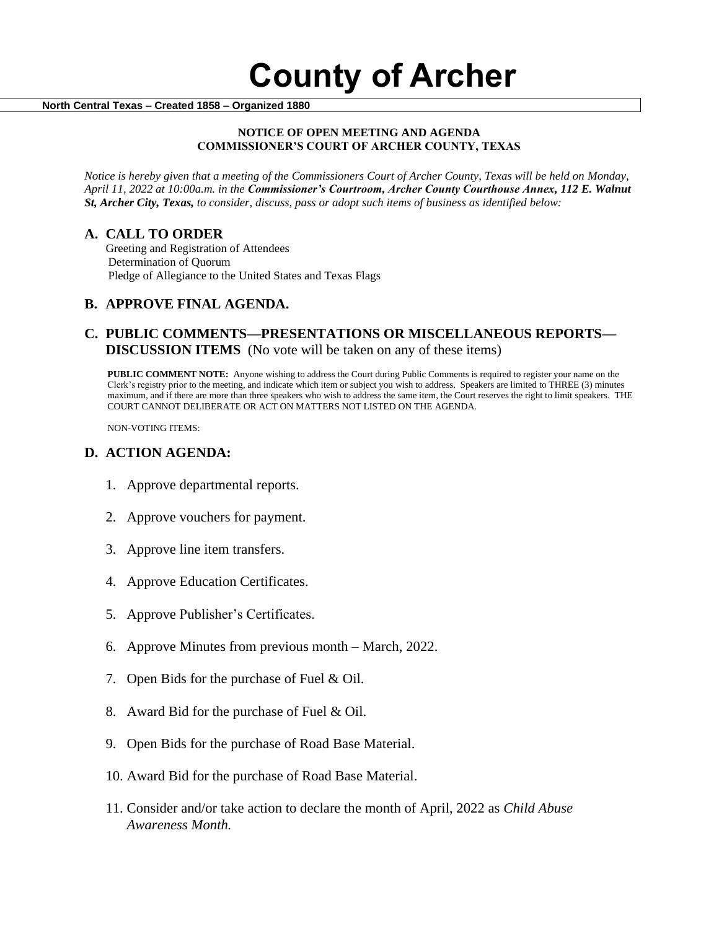#### **North Central Texas – Created 1858 – Organized 1880**

#### **NOTICE OF OPEN MEETING AND AGENDA COMMISSIONER'S COURT OF ARCHER COUNTY, TEXAS**

*Notice is hereby given that a meeting of the Commissioners Court of Archer County, Texas will be held on Monday, April 11, 2022 at 10:00a.m. in the Commissioner's Courtroom, Archer County Courthouse Annex, 112 E. Walnut St, Archer City, Texas, to consider, discuss, pass or adopt such items of business as identified below:*

### **A. CALL TO ORDER**

 Greeting and Registration of Attendees Determination of Quorum Pledge of Allegiance to the United States and Texas Flags

# **B. APPROVE FINAL AGENDA.**

# **C. PUBLIC COMMENTS—PRESENTATIONS OR MISCELLANEOUS REPORTS— DISCUSSION ITEMS** (No vote will be taken on any of these items)

**PUBLIC COMMENT NOTE:** Anyone wishing to address the Court during Public Comments is required to register your name on the Clerk's registry prior to the meeting, and indicate which item or subject you wish to address. Speakers are limited to THREE (3) minutes maximum, and if there are more than three speakers who wish to address the same item, the Court reserves the right to limit speakers. THE COURT CANNOT DELIBERATE OR ACT ON MATTERS NOT LISTED ON THE AGENDA.

NON-VOTING ITEMS:

#### **D. ACTION AGENDA:**

- 1. Approve departmental reports.
- 2. Approve vouchers for payment.
- 3. Approve line item transfers.
- 4. Approve Education Certificates.
- 5. Approve Publisher's Certificates.
- 6. Approve Minutes from previous month March, 2022.
- 7. Open Bids for the purchase of Fuel & Oil.
- 8. Award Bid for the purchase of Fuel & Oil.
- 9. Open Bids for the purchase of Road Base Material.
- 10. Award Bid for the purchase of Road Base Material.
- 11. Consider and/or take action to declare the month of April, 2022 as *Child Abuse Awareness Month.*